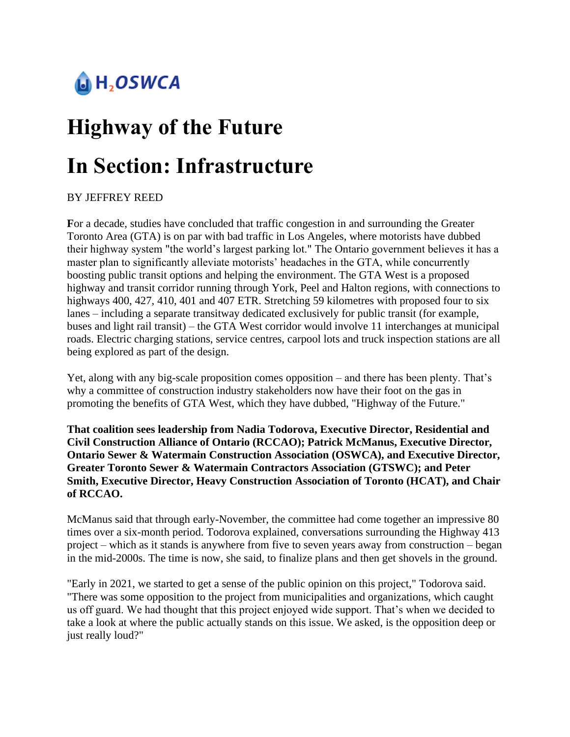## $\bigcup$  H<sub>2</sub>OSWCA

# **Highway of the Future In Section: Infrastructure**

#### BY JEFFREY REED

**F**or a decade, studies have concluded that traffic congestion in and surrounding the Greater Toronto Area (GTA) is on par with bad traffic in Los Angeles, where motorists have dubbed their highway system "the world's largest parking lot." The Ontario government believes it has a master plan to significantly alleviate motorists' headaches in the GTA, while concurrently boosting public transit options and helping the environment. The GTA West is a proposed highway and transit corridor running through York, Peel and Halton regions, with connections to highways 400, 427, 410, 401 and 407 ETR. Stretching 59 kilometres with proposed four to six lanes – including a separate transitway dedicated exclusively for public transit (for example, buses and light rail transit) – the GTA West corridor would involve 11 interchanges at municipal roads. Electric charging stations, service centres, carpool lots and truck inspection stations are all being explored as part of the design.

Yet, along with any big-scale proposition comes opposition – and there has been plenty. That's why a committee of construction industry stakeholders now have their foot on the gas in promoting the benefits of GTA West, which they have dubbed, "Highway of the Future."

**That coalition sees leadership from Nadia Todorova, Executive Director, Residential and Civil Construction Alliance of Ontario (RCCAO); Patrick McManus, Executive Director, Ontario Sewer & Watermain Construction Association (OSWCA), and Executive Director, Greater Toronto Sewer & Watermain Contractors Association (GTSWC); and Peter Smith, Executive Director, Heavy Construction Association of Toronto (HCAT), and Chair of RCCAO.**

McManus said that through early-November, the committee had come together an impressive 80 times over a six-month period. Todorova explained, conversations surrounding the Highway 413 project – which as it stands is anywhere from five to seven years away from construction – began in the mid-2000s. The time is now, she said, to finalize plans and then get shovels in the ground.

"Early in 2021, we started to get a sense of the public opinion on this project," Todorova said. "There was some opposition to the project from municipalities and organizations, which caught us off guard. We had thought that this project enjoyed wide support. That's when we decided to take a look at where the public actually stands on this issue. We asked, is the opposition deep or just really loud?"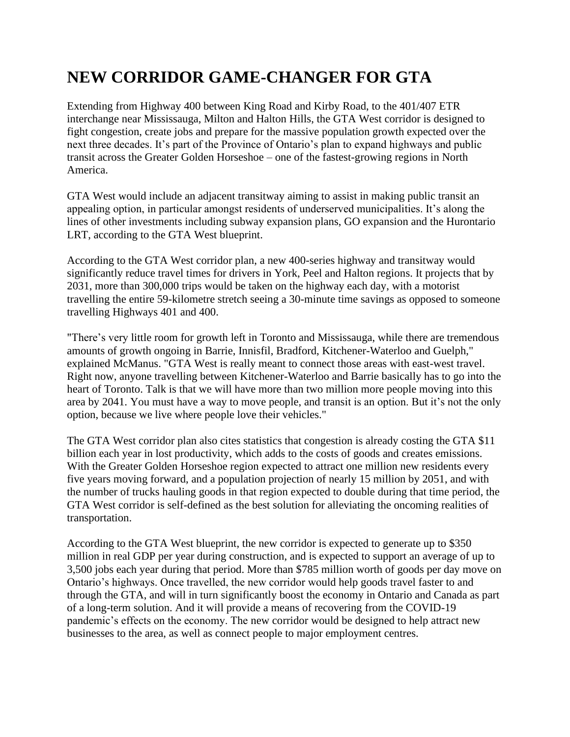### **NEW CORRIDOR GAME-CHANGER FOR GTA**

Extending from Highway 400 between King Road and Kirby Road, to the 401/407 ETR interchange near Mississauga, Milton and Halton Hills, the GTA West corridor is designed to fight congestion, create jobs and prepare for the massive population growth expected over the next three decades. It's part of the Province of Ontario's plan to expand highways and public transit across the Greater Golden Horseshoe – one of the fastest-growing regions in North America.

GTA West would include an adjacent transitway aiming to assist in making public transit an appealing option, in particular amongst residents of underserved municipalities. It's along the lines of other investments including subway expansion plans, GO expansion and the Hurontario LRT, according to the GTA West blueprint.

According to the GTA West corridor plan, a new 400-series highway and transitway would significantly reduce travel times for drivers in York, Peel and Halton regions. It projects that by 2031, more than 300,000 trips would be taken on the highway each day, with a motorist travelling the entire 59-kilometre stretch seeing a 30-minute time savings as opposed to someone travelling Highways 401 and 400.

"There's very little room for growth left in Toronto and Mississauga, while there are tremendous amounts of growth ongoing in Barrie, Innisfil, Bradford, Kitchener-Waterloo and Guelph," explained McManus. "GTA West is really meant to connect those areas with east-west travel. Right now, anyone travelling between Kitchener-Waterloo and Barrie basically has to go into the heart of Toronto. Talk is that we will have more than two million more people moving into this area by 2041. You must have a way to move people, and transit is an option. But it's not the only option, because we live where people love their vehicles."

The GTA West corridor plan also cites statistics that congestion is already costing the GTA \$11 billion each year in lost productivity, which adds to the costs of goods and creates emissions. With the Greater Golden Horseshoe region expected to attract one million new residents every five years moving forward, and a population projection of nearly 15 million by 2051, and with the number of trucks hauling goods in that region expected to double during that time period, the GTA West corridor is self-defined as the best solution for alleviating the oncoming realities of transportation.

According to the GTA West blueprint, the new corridor is expected to generate up to \$350 million in real GDP per year during construction, and is expected to support an average of up to 3,500 jobs each year during that period. More than \$785 million worth of goods per day move on Ontario's highways. Once travelled, the new corridor would help goods travel faster to and through the GTA, and will in turn significantly boost the economy in Ontario and Canada as part of a long-term solution. And it will provide a means of recovering from the COVID-19 pandemic's effects on the economy. The new corridor would be designed to help attract new businesses to the area, as well as connect people to major employment centres.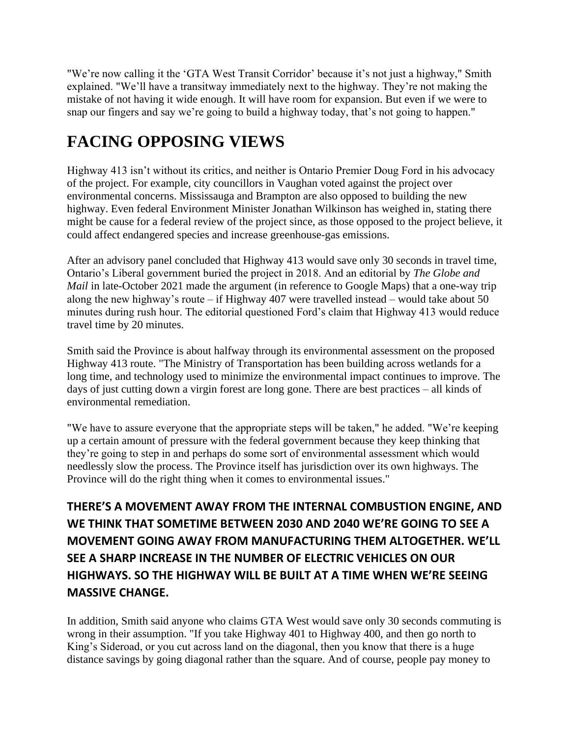"We're now calling it the 'GTA West Transit Corridor' because it's not just a highway," Smith explained. "We'll have a transitway immediately next to the highway. They're not making the mistake of not having it wide enough. It will have room for expansion. But even if we were to snap our fingers and say we're going to build a highway today, that's not going to happen."

### **FACING OPPOSING VIEWS**

Highway 413 isn't without its critics, and neither is Ontario Premier Doug Ford in his advocacy of the project. For example, city councillors in Vaughan voted against the project over environmental concerns. Mississauga and Brampton are also opposed to building the new highway. Even federal Environment Minister Jonathan Wilkinson has weighed in, stating there might be cause for a federal review of the project since, as those opposed to the project believe, it could affect endangered species and increase greenhouse-gas emissions.

After an advisory panel concluded that Highway 413 would save only 30 seconds in travel time, Ontario's Liberal government buried the project in 2018. And an editorial by *The Globe and Mail* in late-October 2021 made the argument (in reference to Google Maps) that a one-way trip along the new highway's route – if Highway 407 were travelled instead – would take about 50 minutes during rush hour. The editorial questioned Ford's claim that Highway 413 would reduce travel time by 20 minutes.

Smith said the Province is about halfway through its environmental assessment on the proposed Highway 413 route. "The Ministry of Transportation has been building across wetlands for a long time, and technology used to minimize the environmental impact continues to improve. The days of just cutting down a virgin forest are long gone. There are best practices – all kinds of environmental remediation.

"We have to assure everyone that the appropriate steps will be taken," he added. "We're keeping up a certain amount of pressure with the federal government because they keep thinking that they're going to step in and perhaps do some sort of environmental assessment which would needlessly slow the process. The Province itself has jurisdiction over its own highways. The Province will do the right thing when it comes to environmental issues."

**THERE'S A MOVEMENT AWAY FROM THE INTERNAL COMBUSTION ENGINE, AND WE THINK THAT SOMETIME BETWEEN 2030 AND 2040 WE'RE GOING TO SEE A MOVEMENT GOING AWAY FROM MANUFACTURING THEM ALTOGETHER. WE'LL SEE A SHARP INCREASE IN THE NUMBER OF ELECTRIC VEHICLES ON OUR HIGHWAYS. SO THE HIGHWAY WILL BE BUILT AT A TIME WHEN WE'RE SEEING MASSIVE CHANGE.**

In addition, Smith said anyone who claims GTA West would save only 30 seconds commuting is wrong in their assumption. "If you take Highway 401 to Highway 400, and then go north to King's Sideroad, or you cut across land on the diagonal, then you know that there is a huge distance savings by going diagonal rather than the square. And of course, people pay money to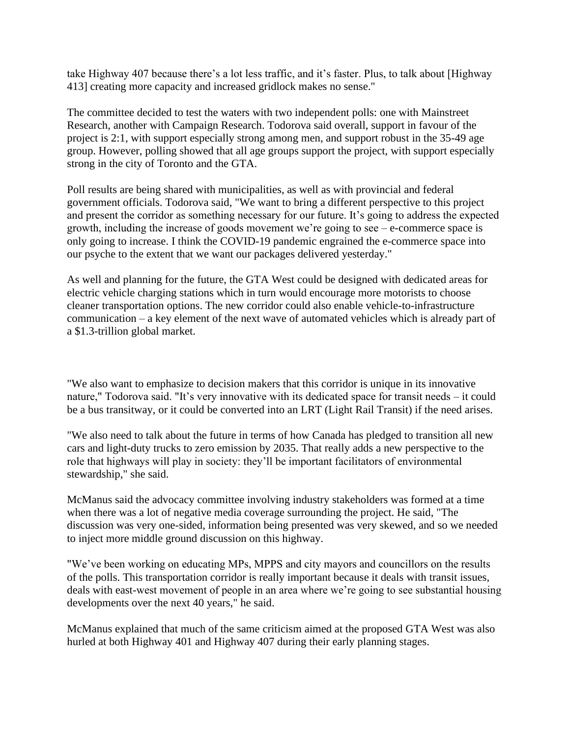take Highway 407 because there's a lot less traffic, and it's faster. Plus, to talk about [Highway 413] creating more capacity and increased gridlock makes no sense."

The committee decided to test the waters with two independent polls: one with Mainstreet Research, another with Campaign Research. Todorova said overall, support in favour of the project is 2:1, with support especially strong among men, and support robust in the 35-49 age group. However, polling showed that all age groups support the project, with support especially strong in the city of Toronto and the GTA.

Poll results are being shared with municipalities, as well as with provincial and federal government officials. Todorova said, "We want to bring a different perspective to this project and present the corridor as something necessary for our future. It's going to address the expected growth, including the increase of goods movement we're going to see – e-commerce space is only going to increase. I think the COVID-19 pandemic engrained the e-commerce space into our psyche to the extent that we want our packages delivered yesterday."

As well and planning for the future, the GTA West could be designed with dedicated areas for electric vehicle charging stations which in turn would encourage more motorists to choose cleaner transportation options. The new corridor could also enable vehicle-to-infrastructure communication – a key element of the next wave of automated vehicles which is already part of a \$1.3-trillion global market.

"We also want to emphasize to decision makers that this corridor is unique in its innovative nature," Todorova said. "It's very innovative with its dedicated space for transit needs – it could be a bus transitway, or it could be converted into an LRT (Light Rail Transit) if the need arises.

"We also need to talk about the future in terms of how Canada has pledged to transition all new cars and light-duty trucks to zero emission by 2035. That really adds a new perspective to the role that highways will play in society: they'll be important facilitators of environmental stewardship," she said.

McManus said the advocacy committee involving industry stakeholders was formed at a time when there was a lot of negative media coverage surrounding the project. He said, "The discussion was very one-sided, information being presented was very skewed, and so we needed to inject more middle ground discussion on this highway.

"We've been working on educating MPs, MPPS and city mayors and councillors on the results of the polls. This transportation corridor is really important because it deals with transit issues, deals with east-west movement of people in an area where we're going to see substantial housing developments over the next 40 years," he said.

McManus explained that much of the same criticism aimed at the proposed GTA West was also hurled at both Highway 401 and Highway 407 during their early planning stages.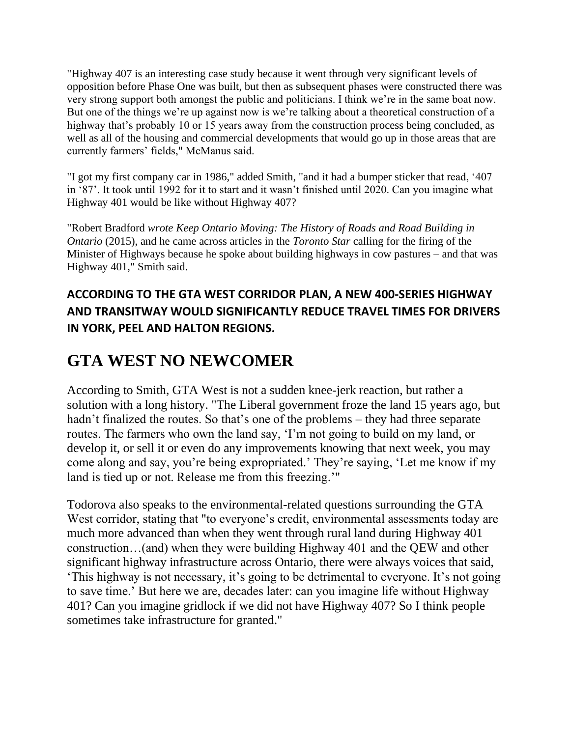"Highway 407 is an interesting case study because it went through very significant levels of opposition before Phase One was built, but then as subsequent phases were constructed there was very strong support both amongst the public and politicians. I think we're in the same boat now. But one of the things we're up against now is we're talking about a theoretical construction of a highway that's probably 10 or 15 years away from the construction process being concluded, as well as all of the housing and commercial developments that would go up in those areas that are currently farmers' fields," McManus said.

"I got my first company car in 1986," added Smith, "and it had a bumper sticker that read, '407 in '87'. It took until 1992 for it to start and it wasn't finished until 2020. Can you imagine what Highway 401 would be like without Highway 407?

"Robert Bradford *wrote Keep Ontario Moving: The History of Roads and Road Building in Ontario* (2015), and he came across articles in the *Toronto Star* calling for the firing of the Minister of Highways because he spoke about building highways in cow pastures – and that was Highway 401," Smith said.

#### **ACCORDING TO THE GTA WEST CORRIDOR PLAN, A NEW 400-SERIES HIGHWAY AND TRANSITWAY WOULD SIGNIFICANTLY REDUCE TRAVEL TIMES FOR DRIVERS IN YORK, PEEL AND HALTON REGIONS.**

#### **GTA WEST NO NEWCOMER**

According to Smith, GTA West is not a sudden knee-jerk reaction, but rather a solution with a long history. "The Liberal government froze the land 15 years ago, but hadn't finalized the routes. So that's one of the problems – they had three separate routes. The farmers who own the land say, 'I'm not going to build on my land, or develop it, or sell it or even do any improvements knowing that next week, you may come along and say, you're being expropriated.' They're saying, 'Let me know if my land is tied up or not. Release me from this freezing.'"

Todorova also speaks to the environmental-related questions surrounding the GTA West corridor, stating that "to everyone's credit, environmental assessments today are much more advanced than when they went through rural land during Highway 401 construction…(and) when they were building Highway 401 and the QEW and other significant highway infrastructure across Ontario, there were always voices that said, 'This highway is not necessary, it's going to be detrimental to everyone. It's not going to save time.' But here we are, decades later: can you imagine life without Highway 401? Can you imagine gridlock if we did not have Highway 407? So I think people sometimes take infrastructure for granted."